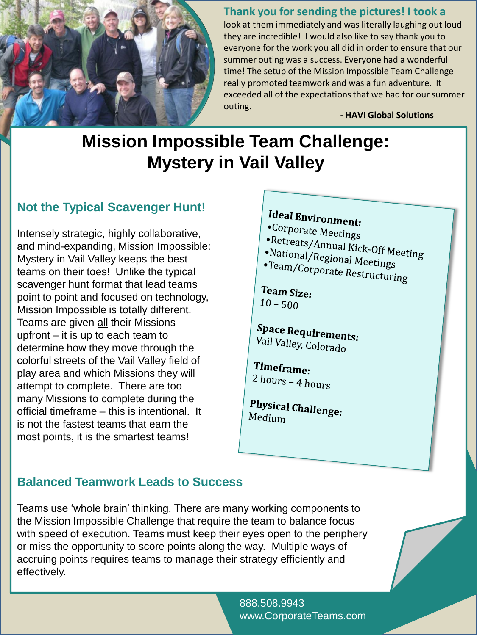

#### **Thank you for sending the pictures! I took a**

look at them immediately and was literally laughing out loud – they are incredible! I would also like to say thank you to everyone for the work you all did in order to ensure that our summer outing was a success. Everyone had a wonderful time! The setup of the Mission Impossible Team Challenge really promoted teamwork and was a fun adventure. It exceeded all of the expectations that we had for our summer outing.

**- HAVI Global Solutions**

# **Mission Impossible Team Challenge: Mystery in Vail Valley**

## **Not the Typical Scavenger Hunt!**

Intensely strategic, highly collaborative, and mind-expanding, Mission Impossible: Mystery in Vail Valley keeps the best teams on their toes! Unlike the typical scavenger hunt format that lead teams point to point and focused on technology, Mission Impossible is totally different. Teams are given all their Missions upfront – it is up to each team to determine how they move through the colorful streets of the Vail Valley field of play area and which Missions they will attempt to complete. There are too many Missions to complete during the official timeframe – this is intentional. It is not the fastest teams that earn the most points, it is the smartest teams!

# Ideal Environment:

- •Corporate Meetings
- •Retreats/Annual Kick-Off Meeting<br>•National/Regional M
- •National/Regional Meetings<br>•National/Regional Meetings<br>•Team/Corporate P
- •Team/Corporate Restructuring

Team Size:  $10 - 500$ 

**Space Requirements:**<br>Vail Valloy *G*, J Vail Valley, Colorado

Timeframe:  $2 \text{ hours} - 4 \text{ hours}$ 

**Physical Challenge:**<br>Medium Medium

## **Balanced Teamwork Leads to Success**

Teams use 'whole brain' thinking. There are many working components to the Mission Impossible Challenge that require the team to balance focus with speed of execution. Teams must keep their eyes open to the periphery or miss the opportunity to score points along the way. Multiple ways of accruing points requires teams to manage their strategy efficiently and effectively.

> 888.508.9943 www.CorporateTeams.com